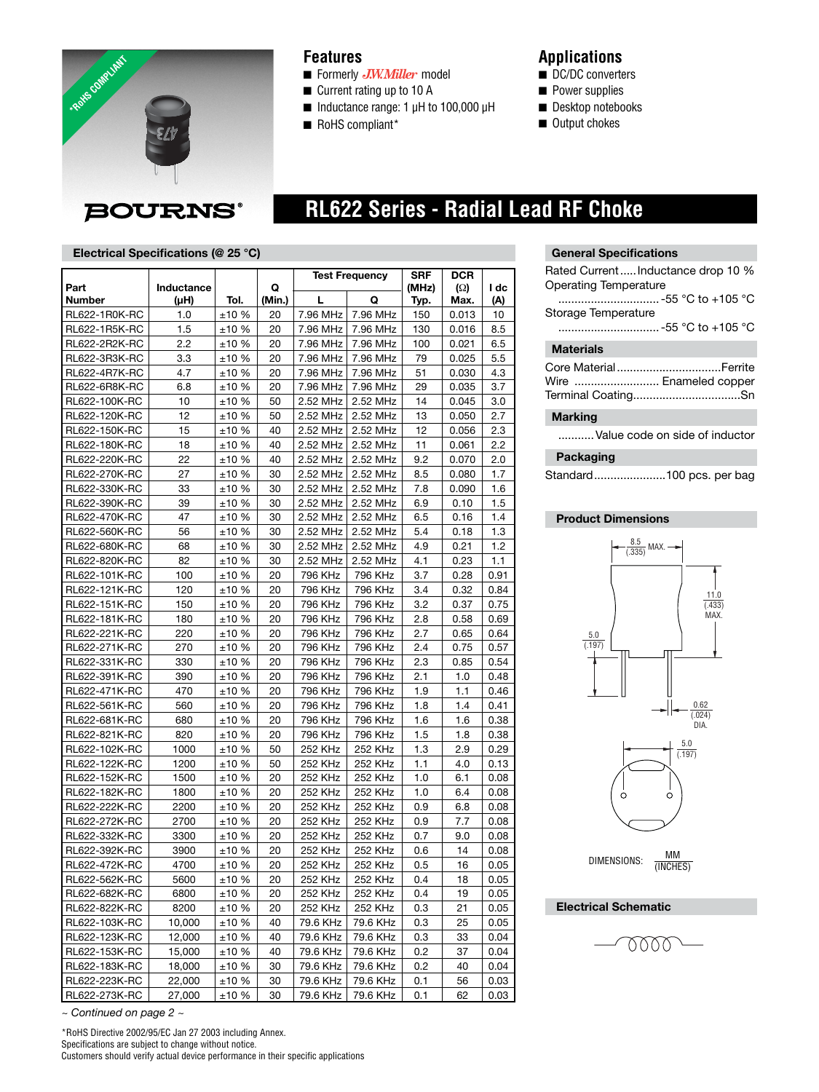

### **Features**

- Formerly *J.W.Miller* model
- Current rating up to 10 A
- Inductance range: 1 µH to 100,000 µH
- RoHS compliant\*

### **Applications**

- DC/DC converters
- Power supplies
- Desktop notebooks
- Output chokes

# **BOURNS®**

## **RL622 Series - Radial Lead RF Choke**

#### **Electrical Specifications (@ 25 °C)**

|               |            |            |        | <b>Test Frequency</b> |                | <b>SRF</b> | DCR      |      |
|---------------|------------|------------|--------|-----------------------|----------------|------------|----------|------|
| Part          | Inductance |            | Q      |                       |                | (MHz)      | $\Omega$ | I dc |
| Number        | (µH)       | Tol.       | (Min.) | L                     | Q              | Typ.       | Max.     | (A)  |
| RL622-1R0K-RC | 1.0        | ±10%       | 20     | 7.96 MHz              | 7.96 MHz       | 150        | 0.013    | 10   |
| RL622-1R5K-RC | 1.5        | ±10 %      | 20     | 7.96 MHz              | 7.96 MHz       | 130        | 0.016    | 8.5  |
| RL622-2R2K-RC | 2.2        | ±10%       | 20     | 7.96 MHz              | 7.96 MHz       | 100        | 0.021    | 6.5  |
| RL622-3R3K-RC | 3.3        | ±10%       | 20     | 7.96 MHz              | 7.96 MHz       | 79         | 0.025    | 5.5  |
| RL622-4R7K-RC | 4.7        | ±10%       | 20     | 7.96 MHz              | 7.96 MHz       | 51         | 0.030    | 4.3  |
| RL622-6R8K-RC | 6.8        | ±10%       | 20     | 7.96 MHz              | 7.96 MHz       | 29         | 0.035    | 3.7  |
| RL622-100K-RC | 10         | ±10%       | 50     | 2.52 MHz              | 2.52 MHz       | 14         | 0.045    | 3.0  |
| RL622-120K-RC | 12         | ±10%       | 50     | 2.52 MHz              | 2.52 MHz       | 13         | 0.050    | 2.7  |
| RL622-150K-RC | 15         | ±10%       | 40     | 2.52 MHz              | 2.52 MHz       | 12         | 0.056    | 2.3  |
| RL622-180K-RC | 18         | ±10%       | 40     | 2.52 MHz              | 2.52 MHz       | 11         | 0.061    | 2.2  |
| RL622-220K-RC | 22         | ±10%       | 40     | 2.52 MHz              | 2.52 MHz       | 9.2        | 0.070    | 2.0  |
| RL622-270K-RC | 27         | ±10%       | 30     | 2.52 MHz              | 2.52 MHz       | 8.5        | 0.080    | 1.7  |
| RL622-330K-RC | 33         | ±10%       | 30     | 2.52 MHz              | 2.52 MHz       | 7.8        | 0.090    | 1.6  |
| RL622-390K-RC | 39         | ±10%       | 30     | 2.52 MHz              | 2.52 MHz       | 6.9        | 0.10     | 1.5  |
| RL622-470K-RC | 47         | ±10%       | 30     | 2.52 MHz              | 2.52 MHz       | 6.5        | 0.16     | 1.4  |
| RL622-560K-RC | 56         | ±10%       | 30     | 2.52 MHz              | 2.52 MHz       | 5.4        | 0.18     | 1.3  |
| RL622-680K-RC | 68         | ±10%       | 30     | 2.52 MHz              | 2.52 MHz       | 4.9        | 0.21     | 1.2  |
| RL622-820K-RC | 82         | ±10%       | 30     | 2.52 MHz              | 2.52 MHz       | 4.1        | 0.23     | 1.1  |
| RL622-101K-RC | 100        | ±10%       | 20     | 796 KHz               | 796 KHz        | 3.7        | 0.28     | 0.91 |
| RL622-121K-RC | 120        | ±10%       | 20     | 796 KHz               | 796 KHz        | 3.4        | 0.32     | 0.84 |
| RL622-151K-RC | 150        | ±10%       | 20     | 796 KHz               | 796 KHz        | 3.2        | 0.37     | 0.75 |
| RL622-181K-RC | 180        | ±10%       | 20     | 796 KHz               | 796 KHz        | 2.8        | 0.58     | 0.69 |
| RL622-221K-RC | 220        | ±10%       | 20     | 796 KHz               | 796 KHz        | 2.7        | 0.65     | 0.64 |
| RL622-271K-RC | 270        | ±10%       | 20     | 796 KHz               | 796 KHz        | 2.4        | 0.75     | 0.57 |
| RL622-331K-RC | 330        | ±10%       | 20     | 796 KHz               | 796 KHz        | 2.3        | 0.85     | 0.54 |
| RL622-391K-RC | 390        | ±10%       | 20     | 796 KHz               | 796 KHz        | 2.1        | 1.0      | 0.48 |
| RL622-471K-RC | 470        | ±10%       | 20     | 796 KHz               | 796 KHz        | 1.9        | 1.1      | 0.46 |
| RL622-561K-RC | 560        | ±10%       | 20     | 796 KHz               | 796 KHz        | 1.8        | 1.4      | 0.41 |
| RL622-681K-RC | 680        | ±10%       | 20     | 796 KHz               | 796 KHz        | 1.6        | 1.6      | 0.38 |
| RL622-821K-RC | 820        | ±10%       | 20     | 796 KHz               | 796 KHz        | 1.5        | 1.8      | 0.38 |
| RL622-102K-RC | 1000       | ±10%       | 50     | 252 KHz               | 252 KHz        | 1.3        | 2.9      | 0.29 |
| RL622-122K-RC | 1200       | ±10%       | 50     | 252 KHz               | 252 KHz        | 1.1        | 4.0      | 0.13 |
| RL622-152K-RC | 1500       | ±10%       | 20     | 252 KHz               | 252 KHz        | 1.0        | 6.1      | 0.08 |
| RL622-182K-RC | 1800       | ±10%       | 20     | 252 KHz               | 252 KHz        | 1.0        | 6.4      | 0.08 |
| RL622-222K-RC | 2200       | ±10%       | 20     | 252 KHz               | <b>252 KHz</b> | 0.9        | 6.8      | 0.08 |
| RL622-272K-RC | 2700       | ±10%       | 20     | 252 KHz               | 252 KHz        | 0.9        | 7.7      | 0.08 |
| RL622-332K-RC | 3300       | ±10%       | 20     | 252 KHz               | 252 KHz        | 0.7        | 9.0      | 0.08 |
| RL622-392K-RC | 3900       | ±10%       | 20     | 252 KHz               | 252 KHz        | 0.6        | 14       | 0.08 |
| RL622-472K-RC | 4700       | ±10%       | 20     | 252 KHz               | 252 KHz        | 0.5        | 16       | 0.05 |
| RL622-562K-RC | 5600       | ±10%       | 20     | 252 KHz               | 252 KHz        | 0.4        | 18       | 0.05 |
| RL622-682K-RC | 6800       | $\pm 10$ % | 20     | 252 KHz               | 252 KHz        | 0.4        | 19       | 0.05 |
| RL622-822K-RC | 8200       | ±10 %      | 20     | 252 KHz               | 252 KHz        | 0.3        | 21       | 0.05 |
| RL622-103K-RC | 10,000     | $\pm 10$ % | 40     | 79.6 KHz              | 79.6 KHz       | 0.3        | 25       | 0.05 |
| RL622-123K-RC | 12,000     | ±10 %      | 40     | 79.6 KHz              | 79.6 KHz       | 0.3        | 33       | 0.04 |
| RL622-153K-RC | 15,000     | ±10%       | 40     | 79.6 KHz              | 79.6 KHz       | 0.2        | 37       | 0.04 |
| RL622-183K-RC | 18,000     | ±10%       | 30     | 79.6 KHz              | 79.6 KHz       | 0.2        | 40       | 0.04 |
| RL622-223K-RC | 22,000     | ±10%       | 30     | 79.6 KHz              | 79.6 KHz       | 0.1        | 56       | 0.03 |
| RL622-273K-RC | 27,000     | ±10 %      | 30     | 79.6 KHz              | 79.6 KHz       | 0.1        | 62       | 0.03 |

#### **General Specifications**

| Rated Current  Inductance drop 10 %<br><b>Operating Temperature</b> |
|---------------------------------------------------------------------|
| -55 °C to +105 °C<br>Storage Temperature                            |
|                                                                     |
| -55 °C to +105 °C                                                   |
| <b>Materials</b>                                                    |
| Wire  Enameled copper                                               |
| <b>Marking</b>                                                      |
| Value code on side of inductor                                      |
| Packaging                                                           |

Standard ......................100 pcs. per bag

#### **Product Dimensions**



DIMENSIONS:  $\frac{MM}{MNCHE}$ (INCHES)

#### **Electrical Schematic**



*~ Continued on page 2 ~*